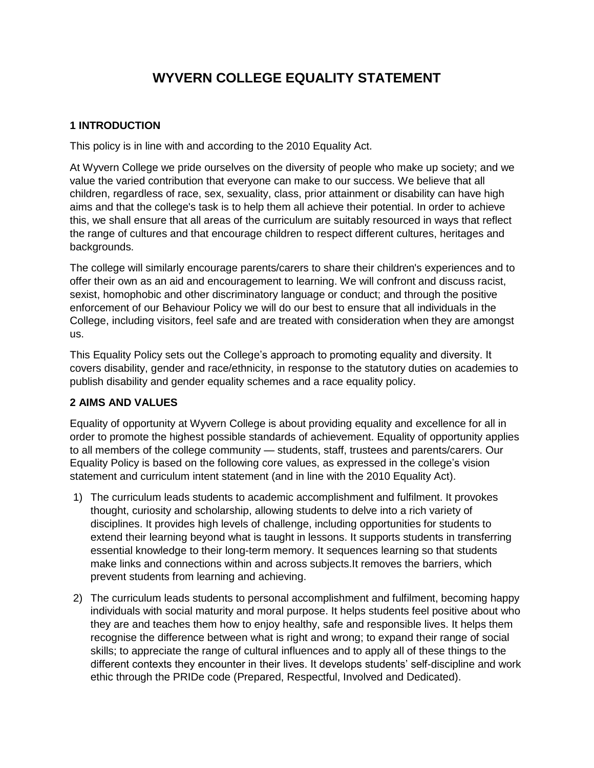# **WYVERN COLLEGE EQUALITY STATEMENT**

## **1 INTRODUCTION**

This policy is in line with and according to the 2010 Equality Act.

At Wyvern College we pride ourselves on the diversity of people who make up society; and we value the varied contribution that everyone can make to our success. We believe that all children, regardless of race, sex, sexuality, class, prior attainment or disability can have high aims and that the college's task is to help them all achieve their potential. In order to achieve this, we shall ensure that all areas of the curriculum are suitably resourced in ways that reflect the range of cultures and that encourage children to respect different cultures, heritages and backgrounds.

The college will similarly encourage parents/carers to share their children's experiences and to offer their own as an aid and encouragement to learning. We will confront and discuss racist, sexist, homophobic and other discriminatory language or conduct; and through the positive enforcement of our Behaviour Policy we will do our best to ensure that all individuals in the College, including visitors, feel safe and are treated with consideration when they are amongst us.

This Equality Policy sets out the College's approach to promoting equality and diversity. It covers disability, gender and race/ethnicity, in response to the statutory duties on academies to publish disability and gender equality schemes and a race equality policy.

# **2 AIMS AND VALUES**

Equality of opportunity at Wyvern College is about providing equality and excellence for all in order to promote the highest possible standards of achievement. Equality of opportunity applies to all members of the college community — students, staff, trustees and parents/carers. Our Equality Policy is based on the following core values, as expressed in the college's vision statement and curriculum intent statement (and in line with the 2010 Equality Act).

- 1) The curriculum leads students to academic accomplishment and fulfilment. It provokes thought, curiosity and scholarship, allowing students to delve into a rich variety of disciplines. It provides high levels of challenge, including opportunities for students to extend their learning beyond what is taught in lessons. It supports students in transferring essential knowledge to their long-term memory. It sequences learning so that students make links and connections within and across subjects.It removes the barriers, which prevent students from learning and achieving.
- 2) The curriculum leads students to personal accomplishment and fulfilment, becoming happy individuals with social maturity and moral purpose. It helps students feel positive about who they are and teaches them how to enjoy healthy, safe and responsible lives. It helps them recognise the difference between what is right and wrong; to expand their range of social skills; to appreciate the range of cultural influences and to apply all of these things to the different contexts they encounter in their lives. It develops students' self-discipline and work ethic through the PRIDe code (Prepared, Respectful, Involved and Dedicated).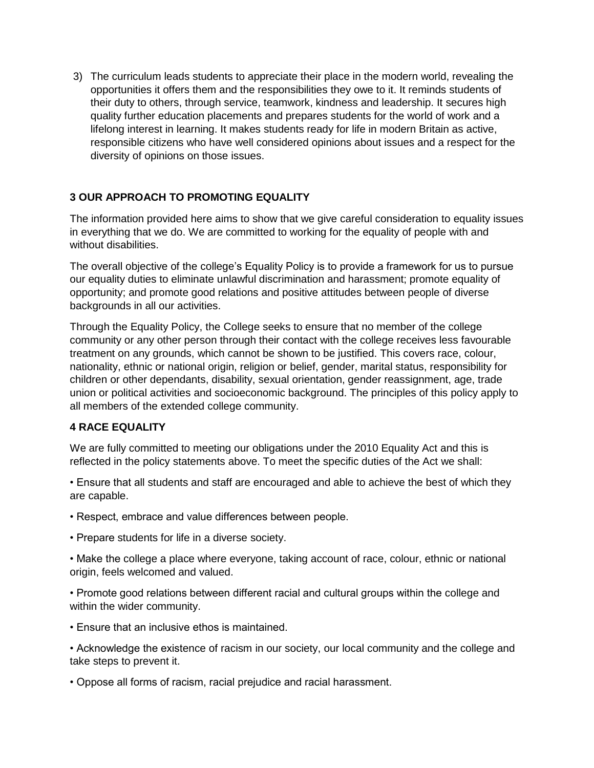3) The curriculum leads students to appreciate their place in the modern world, revealing the opportunities it offers them and the responsibilities they owe to it. It reminds students of their duty to others, through service, teamwork, kindness and leadership. It secures high quality further education placements and prepares students for the world of work and a lifelong interest in learning. It makes students ready for life in modern Britain as active, responsible citizens who have well considered opinions about issues and a respect for the diversity of opinions on those issues.

# **3 OUR APPROACH TO PROMOTING EQUALITY**

The information provided here aims to show that we give careful consideration to equality issues in everything that we do. We are committed to working for the equality of people with and without disabilities.

The overall objective of the college's Equality Policy is to provide a framework for us to pursue our equality duties to eliminate unlawful discrimination and harassment; promote equality of opportunity; and promote good relations and positive attitudes between people of diverse backgrounds in all our activities.

Through the Equality Policy, the College seeks to ensure that no member of the college community or any other person through their contact with the college receives less favourable treatment on any grounds, which cannot be shown to be justified. This covers race, colour, nationality, ethnic or national origin, religion or belief, gender, marital status, responsibility for children or other dependants, disability, sexual orientation, gender reassignment, age, trade union or political activities and socioeconomic background. The principles of this policy apply to all members of the extended college community.

#### **4 RACE EQUALITY**

We are fully committed to meeting our obligations under the 2010 Equality Act and this is reflected in the policy statements above. To meet the specific duties of the Act we shall:

• Ensure that all students and staff are encouraged and able to achieve the best of which they are capable.

- Respect, embrace and value differences between people.
- Prepare students for life in a diverse society.

• Make the college a place where everyone, taking account of race, colour, ethnic or national origin, feels welcomed and valued.

• Promote good relations between different racial and cultural groups within the college and within the wider community.

• Ensure that an inclusive ethos is maintained.

• Acknowledge the existence of racism in our society, our local community and the college and take steps to prevent it.

• Oppose all forms of racism, racial prejudice and racial harassment.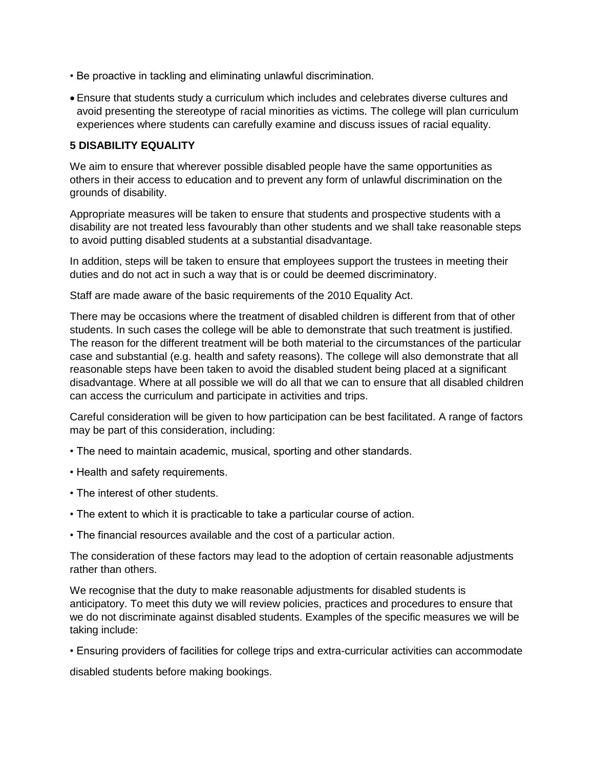- Be proactive in tackling and eliminating unlawful discrimination.
- Ensure that students study a curriculum which includes and celebrates diverse cultures and avoid presenting the stereotype of racial minorities as victims. The college will plan curriculum experiences where students can carefully examine and discuss issues of racial equality.

#### **5 DISABILITY EQUALITY**

We aim to ensure that wherever possible disabled people have the same opportunities as others in their access to education and to prevent any form of unlawful discrimination on the grounds of disability.

Appropriate measures will be taken to ensure that students and prospective students with a disability are not treated less favourably than other students and we shall take reasonable steps to avoid putting disabled students at a substantial disadvantage.

In addition, steps will be taken to ensure that employees support the trustees in meeting their duties and do not act in such a way that is or could be deemed discriminatory.

Staff are made aware of the basic requirements of the 2010 Equality Act.

There may be occasions where the treatment of disabled children is different from that of other students. In such cases the college will be able to demonstrate that such treatment is justified. The reason for the different treatment will be both material to the circumstances of the particular case and substantial (e.g. health and safety reasons). The college will also demonstrate that all reasonable steps have been taken to avoid the disabled student being placed at a significant disadvantage. Where at all possible we will do all that we can to ensure that all disabled children can access the curriculum and participate in activities and trips.

Careful consideration will be given to how participation can be best facilitated. A range of factors may be part of this consideration, including:

- The need to maintain academic, musical, sporting and other standards.
- Health and safety requirements.
- The interest of other students.
- The extent to which it is practicable to take a particular course of action.
- The financial resources available and the cost of a particular action.

The consideration of these factors may lead to the adoption of certain reasonable adjustments rather than others.

We recognise that the duty to make reasonable adjustments for disabled students is anticipatory. To meet this duty we will review policies, practices and procedures to ensure that we do not discriminate against disabled students. Examples of the specific measures we will be taking include:

• Ensuring providers of facilities for college trips and extra-curricular activities can accommodate

disabled students before making bookings.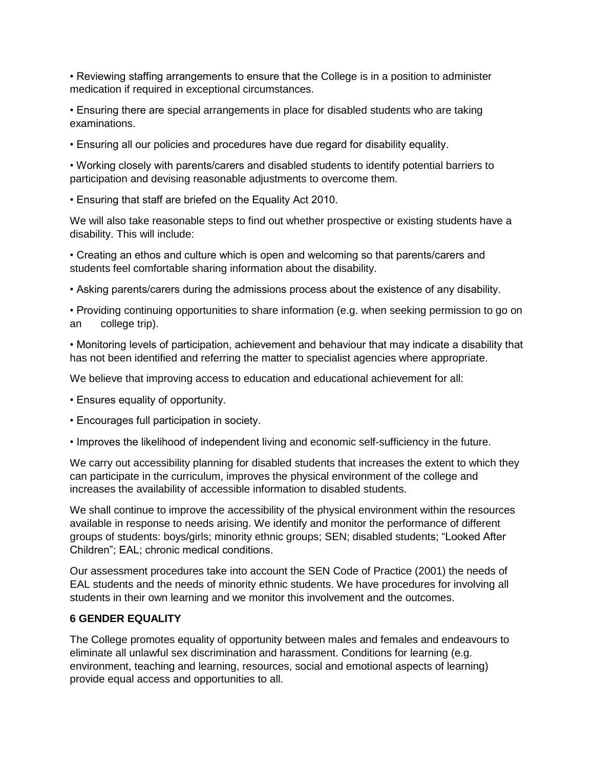• Reviewing staffing arrangements to ensure that the College is in a position to administer medication if required in exceptional circumstances.

• Ensuring there are special arrangements in place for disabled students who are taking examinations.

• Ensuring all our policies and procedures have due regard for disability equality.

• Working closely with parents/carers and disabled students to identify potential barriers to participation and devising reasonable adjustments to overcome them.

• Ensuring that staff are briefed on the Equality Act 2010.

We will also take reasonable steps to find out whether prospective or existing students have a disability. This will include:

• Creating an ethos and culture which is open and welcoming so that parents/carers and students feel comfortable sharing information about the disability.

• Asking parents/carers during the admissions process about the existence of any disability.

• Providing continuing opportunities to share information (e.g. when seeking permission to go on an college trip).

• Monitoring levels of participation, achievement and behaviour that may indicate a disability that has not been identified and referring the matter to specialist agencies where appropriate.

We believe that improving access to education and educational achievement for all:

- Ensures equality of opportunity.
- Encourages full participation in society.
- Improves the likelihood of independent living and economic self-sufficiency in the future.

We carry out accessibility planning for disabled students that increases the extent to which they can participate in the curriculum, improves the physical environment of the college and increases the availability of accessible information to disabled students.

We shall continue to improve the accessibility of the physical environment within the resources available in response to needs arising. We identify and monitor the performance of different groups of students: boys/girls; minority ethnic groups; SEN; disabled students; "Looked After Children"; EAL; chronic medical conditions.

Our assessment procedures take into account the SEN Code of Practice (2001) the needs of EAL students and the needs of minority ethnic students. We have procedures for involving all students in their own learning and we monitor this involvement and the outcomes.

#### **6 GENDER EQUALITY**

The College promotes equality of opportunity between males and females and endeavours to eliminate all unlawful sex discrimination and harassment. Conditions for learning (e.g. environment, teaching and learning, resources, social and emotional aspects of learning) provide equal access and opportunities to all.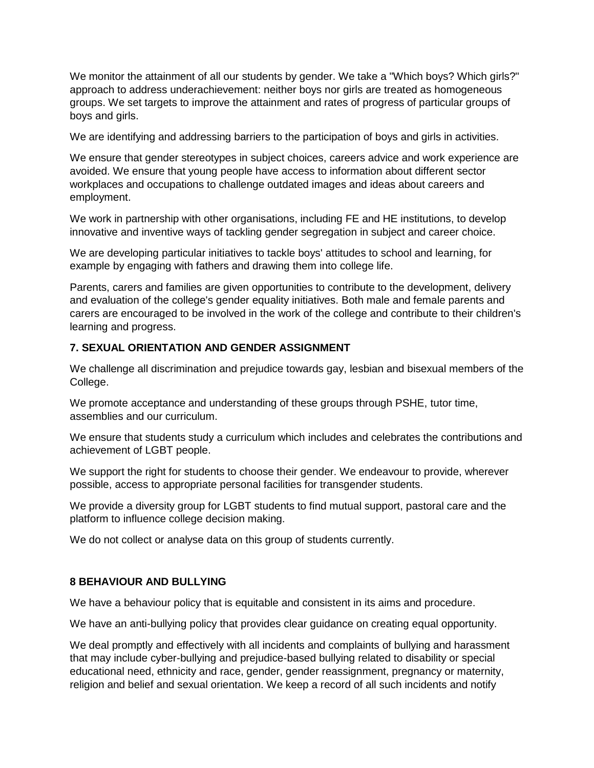We monitor the attainment of all our students by gender. We take a "Which boys? Which girls?" approach to address underachievement: neither boys nor girls are treated as homogeneous groups. We set targets to improve the attainment and rates of progress of particular groups of boys and girls.

We are identifying and addressing barriers to the participation of boys and girls in activities.

We ensure that gender stereotypes in subject choices, careers advice and work experience are avoided. We ensure that young people have access to information about different sector workplaces and occupations to challenge outdated images and ideas about careers and employment.

We work in partnership with other organisations, including FE and HE institutions, to develop innovative and inventive ways of tackling gender segregation in subject and career choice.

We are developing particular initiatives to tackle boys' attitudes to school and learning, for example by engaging with fathers and drawing them into college life.

Parents, carers and families are given opportunities to contribute to the development, delivery and evaluation of the college's gender equality initiatives. Both male and female parents and carers are encouraged to be involved in the work of the college and contribute to their children's learning and progress.

### **7. SEXUAL ORIENTATION AND GENDER ASSIGNMENT**

We challenge all discrimination and prejudice towards gay, lesbian and bisexual members of the College.

We promote acceptance and understanding of these groups through PSHE, tutor time, assemblies and our curriculum.

We ensure that students study a curriculum which includes and celebrates the contributions and achievement of LGBT people.

We support the right for students to choose their gender. We endeavour to provide, wherever possible, access to appropriate personal facilities for transgender students.

We provide a diversity group for LGBT students to find mutual support, pastoral care and the platform to influence college decision making.

We do not collect or analyse data on this group of students currently.

#### **8 BEHAVIOUR AND BULLYING**

We have a behaviour policy that is equitable and consistent in its aims and procedure.

We have an anti-bullying policy that provides clear guidance on creating equal opportunity.

We deal promptly and effectively with all incidents and complaints of bullying and harassment that may include cyber-bullying and prejudice-based bullying related to disability or special educational need, ethnicity and race, gender, gender reassignment, pregnancy or maternity, religion and belief and sexual orientation. We keep a record of all such incidents and notify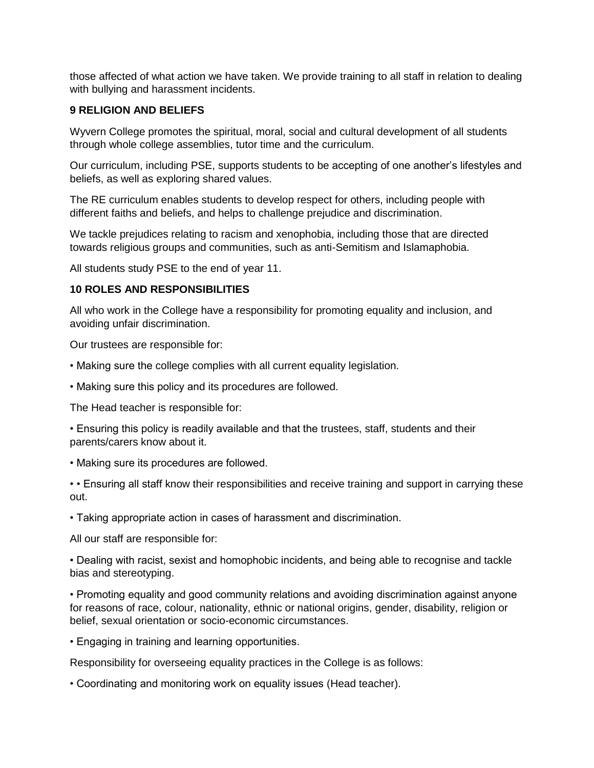those affected of what action we have taken. We provide training to all staff in relation to dealing with bullying and harassment incidents.

#### **9 RELIGION AND BELIEFS**

Wyvern College promotes the spiritual, moral, social and cultural development of all students through whole college assemblies, tutor time and the curriculum.

Our curriculum, including PSE, supports students to be accepting of one another's lifestyles and beliefs, as well as exploring shared values.

The RE curriculum enables students to develop respect for others, including people with different faiths and beliefs, and helps to challenge prejudice and discrimination.

We tackle prejudices relating to racism and xenophobia, including those that are directed towards religious groups and communities, such as anti-Semitism and Islamaphobia.

All students study PSE to the end of year 11.

#### **10 ROLES AND RESPONSIBILITIES**

All who work in the College have a responsibility for promoting equality and inclusion, and avoiding unfair discrimination.

Our trustees are responsible for:

- Making sure the college complies with all current equality legislation.
- Making sure this policy and its procedures are followed.

The Head teacher is responsible for:

• Ensuring this policy is readily available and that the trustees, staff, students and their parents/carers know about it.

• Making sure its procedures are followed.

• • Ensuring all staff know their responsibilities and receive training and support in carrying these out.

• Taking appropriate action in cases of harassment and discrimination.

All our staff are responsible for:

• Dealing with racist, sexist and homophobic incidents, and being able to recognise and tackle bias and stereotyping.

• Promoting equality and good community relations and avoiding discrimination against anyone for reasons of race, colour, nationality, ethnic or national origins, gender, disability, religion or belief, sexual orientation or socio-economic circumstances.

• Engaging in training and learning opportunities.

Responsibility for overseeing equality practices in the College is as follows:

• Coordinating and monitoring work on equality issues (Head teacher).